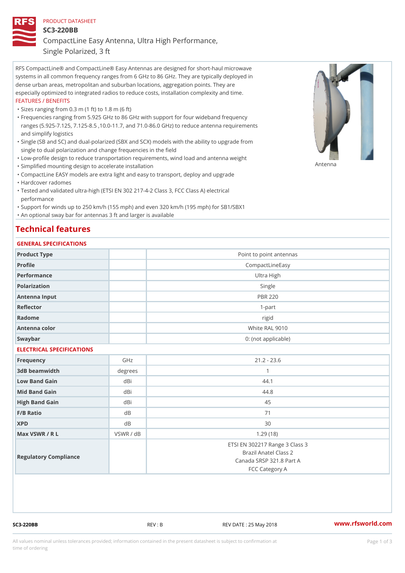## PRODUCT DATASHEET

SC3-220BB

CompactLine Easy Antenna, Ultra High Performance,

Single Polarized, 3 ft

RFS CompactLine® and CompactLine® Easy Antennas are designed for short-haul microwave systems in all common frequency ranges from 6 GHz to 86 GHz. They are typically deployed in dense urban areas, metropolitan and suburban locations, aggregation points. They are especially optimized to integrated radios to reduce costs, installation complexity and time. FEATURES / BENEFITS

"Sizes ranging from 0.3 m (1 ft) to 1.8 m (6 ft)

- Frequencies ranging from 5.925 GHz to 86 GHz with support for four wideband frequency " ranges (5.925-7.125, 7.125-8.5 ,10.0-11.7, and 71.0-86.0 GHz) to reduce antenna requirements and simplify logistics
- Single (SB and SC) and dual-polarized (SBX and SCX) models with the ability to upgrade from " single to dual polarization and change frequencies in the field
- "Low-profile design to reduce transportation requirements, wind load and antenna weight
- "Simplified mounting design to accelerate installation

 "CompactLine EASY models are extra light and easy to transport, deploy and upgrade "Hardcover radomes

Tested and validated ultra-high (ETSI EN 302 217-4-2 Class 3, FCC Class A) electrical " performance

 "Support for winds up to 250 km/h (155 mph) and even 320 km/h (195 mph) for SB1/SBX1 "An optional sway bar for antennas 3 ft and larger is available

## Technical features

## GENERAL SPECIFICATIONS

| OLIVLINAL OI LOII IOA I IONO |                |                                                                                                       |  |  |
|------------------------------|----------------|-------------------------------------------------------------------------------------------------------|--|--|
| Product Type                 |                | Point to point antennas                                                                               |  |  |
| Profile                      |                | CompactLineEasy                                                                                       |  |  |
| Performance                  |                | Ultra High                                                                                            |  |  |
| Polarization                 |                | Single                                                                                                |  |  |
| Antenna Input                |                | <b>PBR 220</b>                                                                                        |  |  |
| Reflector                    |                | $1-part$                                                                                              |  |  |
| Radome                       |                | rigid                                                                                                 |  |  |
| Antenna color                |                | White RAL 9010                                                                                        |  |  |
| Swaybar                      |                | 0: (not applicable)                                                                                   |  |  |
| ELECTRICAL SPECIFICATIONS    |                |                                                                                                       |  |  |
| Frequency                    | GHz            | $21.2 - 23.6$                                                                                         |  |  |
| 3dB beamwidth                | degrees        | $\mathbf{1}$                                                                                          |  |  |
| Low Band Gain                | dBi            | 44.1                                                                                                  |  |  |
| Mid Band Gain                | dBi            | 44.8                                                                                                  |  |  |
| High Band Gain               | dBi            | 45                                                                                                    |  |  |
| $F/B$ Ratio                  | d <sub>B</sub> | 71                                                                                                    |  |  |
| <b>XPD</b>                   | $d$ B          | 30                                                                                                    |  |  |
| Max VSWR / R L               | VSWR / dB      | 1.29(18)                                                                                              |  |  |
| Regulatory Compliance        |                | ETSI EN 302217 Range 3 Class 3<br>Brazil Anatel Class 2<br>Canada SRSP 321.8 Part A<br>FCC Category A |  |  |

SC3-220BB REV : B REV DATE : 25 May 2018 [www.](https://www.rfsworld.com)rfsworld.com

Antenna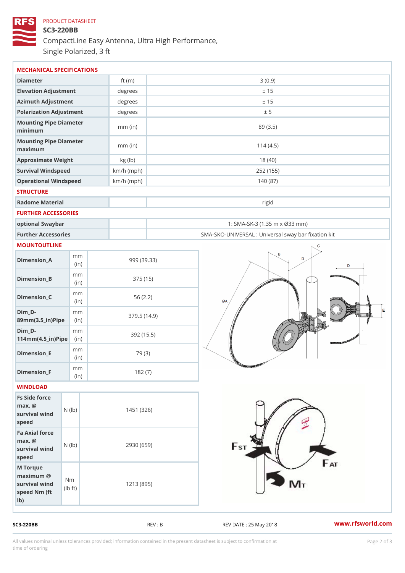## PRODUCT DATASHEET SC3-220BB CompactLine Easy Antenna, Ultra High Performance, Single Polarized, 3 ft

| MECHANICAL SPECIFICATIONS                                                                           |              |                                                   |
|-----------------------------------------------------------------------------------------------------|--------------|---------------------------------------------------|
| Diameter                                                                                            | ft $(m)$     | 3(0.9)                                            |
| Elevation Adjustment                                                                                | degrees      | ± 15                                              |
| Azimuth Adjustment                                                                                  | degrees      | ± 15                                              |
| Polarization Adjustment                                                                             | degrees      | ± 5                                               |
| Mounting Pipe Diameter<br>minimum                                                                   | $mm$ (in)    | 89(3.5)                                           |
| Mounting Pipe Diameter<br>maximum                                                                   | $mm$ (in)    | 114(4.5)                                          |
| Approximate Weight                                                                                  | kg (lb)      | 18(40)                                            |
| Survival Windspeed                                                                                  | $km/h$ (mph) | 252 (155)                                         |
| Operational Windspeed                                                                               | $km/h$ (mph) | 140(87)                                           |
| <b>STRUCTURE</b>                                                                                    |              |                                                   |
| Radome Material                                                                                     |              | rigid                                             |
| FURTHER ACCESSORIES                                                                                 |              |                                                   |
| optional Swaybar                                                                                    |              | 1: SMA-SK-3 (1.35 m x Ø33 mm)                     |
| Further Accessories                                                                                 |              | SMA-SKO-UNIVERSAL : Universal sway bar fixation l |
| MOUNTOUTLINE                                                                                        |              |                                                   |
| m m<br>$Dimension_A$<br>(in)                                                                        |              | 999 (39.33)                                       |
| m m<br>$Dimen sion_B$<br>(in)                                                                       |              | 375 (15)                                          |
| m m<br>$Dimension_C$<br>(in)                                                                        |              | 56(2.2)                                           |
| $Dim_D - D -$<br>m m<br>89mm (3.5_in) Pi(pine                                                       |              | 379.5(14.9)                                       |
| $Dim_D - D -$<br>m m<br>$114$ m m $(4.5$ ir $)$ $\sqrt{$ ii $\sqrt{p}}$ $\ge$                       |              | 392 (15.5)                                        |
| m m<br>$Dimension$ _E<br>(in)                                                                       |              | 79 (3)                                            |
| m m<br>$Dimension_F$<br>(in)                                                                        |              | 182(7)                                            |
| WINDLOAD                                                                                            |              |                                                   |
| Fs Side force<br>$max.$ @<br>survival $w \nmid N$ ( $ b$ )<br>speed                                 | 1451 (326)   |                                                   |
| Fa Axial force<br>$max.$ @<br>survival $wined$ ( $\vert b)$ )<br>speed                              |              | 2930 (659)                                        |
| M Torque<br>$maximum$ @<br>N m<br>survival wind<br>l b<br>$\uparrow$ t )<br>speed Nm (ft)<br>$1b$ ) |              | 1213 (895)                                        |

SC3-220BB REV : B REV : REV DATE : 25 May 2018 WWW.rfsworld.com